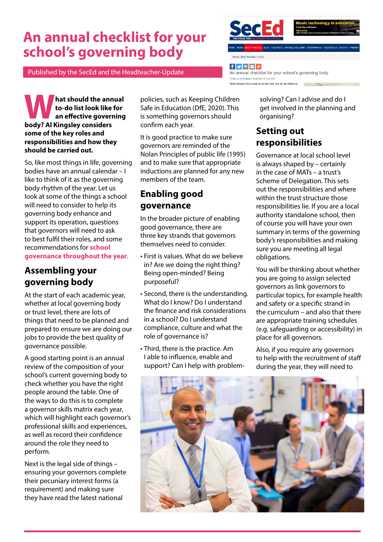# **An annual checklist for your school's governing body**





 $f \times e$ 

An annual checklist for your school's governing body Written by: Al Kingsley | Published: 08 July What should the annual to-do list look like for an effective

BLOG PODCASTS KNOWLEDGE BANK CORON

**What should the annual<br>to-do list look like for<br>an effective governing<br>hody? Al Kingsley considers to-do list look like for an effective governing body? Al Kingsley considers some of the key roles and responsibilities and how they should be carried out.**

So, like most things in life, governing bodies have an annual calendar – I like to think of it as the governing body rhythm of the year. Let us look at some of the things a school will need to consider to help its governing body enhance and support its operation, questions that governors will need to ask to best fulfil their roles, and some recommendations for **[school](https://www.sec-ed.co.uk/best-practice/leadership-and-policy/governance-and-management/694347/)  [governance throughout the year](https://www.sec-ed.co.uk/best-practice/leadership-and-policy/governance-and-management/694347/)**.

### **Assembling your governing body**

At the start of each academic year, whether at local governing body or trust level, there are lots of things that need to be planned and prepared to ensure we are doing our jobs to provide the best quality of governance possible.

A good starting point is an annual review of the composition of your school's current governing body to check whether you have the right people around the table. One of the ways to do this is to complete a governor skills matrix each year, which will highlight each governor's professional skills and experiences, as well as record their confidence around the role they need to perform.

Next is the legal side of things – ensuring your governors complete their pecuniary interest forms (a requirement) and making sure they have read the latest national

policies, such as Keeping Children Safe in Education (DfE, 2020). This is something governors should confirm each year.

It is good practice to make sure governors are reminded of the Nolan Principles of public life (1995) and to make sure that appropriate inductions are planned for any new members of the team.

# **Enabling good governance**

In the broader picture of enabling good governance, there are three key strands that governors themselves need to consider.

- First is values. What do we believe in? Are we doing the right thing? Being open-minded? Being purposeful?
- Second, there is the understanding. What do I know? Do I understand the finance and risk considerations in a school? Do I understand compliance, culture and what the role of governance is?
- Third, there is the practice. Am I able to influence, enable and support? Can I help with problem-

solving? Can I advise and do I get involved in the planning and organising?

#### **Setting out responsibilities**

Governance at local school level is always shaped by – certainly in the case of MATs – a trust's Scheme of Delegation. This sets out the responsibilities and where within the trust structure those responsibilities lie. If you are a local authority standalone school, then of course you will have your own summary in terms of the governing body's responsibilities and making sure you are meeting all legal obligations.

You will be thinking about whether you are going to assign selected governors as link governors to particular topics, for example health and safety or a specific strand in the curriculum – and also that there are appropriate training schedules (e.g. safeguarding or accessibility) in place for all governors.

Also, if you require any governors to help with the recruitment of staff during the year, they will need to

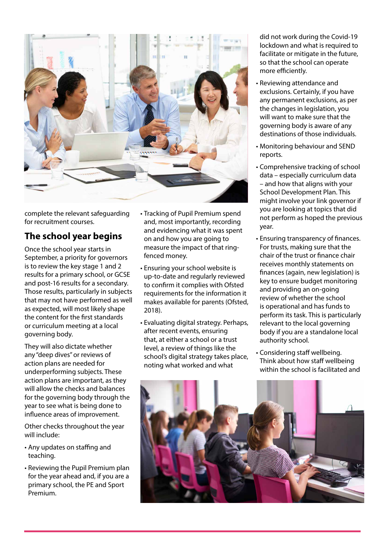

complete the relevant safeguarding for recruitment courses.

## **The school year begins**

Once the school year starts in September, a priority for governors is to review the key stage 1 and 2 results for a primary school, or GCSE and post-16 results for a secondary. Those results, particularly in subjects that may not have performed as well as expected, will most likely shape the content for the first standards or curriculum meeting at a local governing body.

They will also dictate whether any "deep dives" or reviews of action plans are needed for underperforming subjects. These action plans are important, as they will allow the checks and balances for the governing body through the year to see what is being done to influence areas of improvement.

Other checks throughout the year will include:

- Any updates on staffing and teaching.
- Reviewing the Pupil Premium plan for the year ahead and, if you are a primary school, the PE and Sport Premium.
- Tracking of Pupil Premium spend and, most importantly, recording and evidencing what it was spent on and how you are going to measure the impact of that ringfenced money.
- Ensuring your school website is up-to-date and regularly reviewed to confirm it complies with Ofsted requirements for the information it makes available for parents (Ofsted, 2018).
- Evaluating digital strategy. Perhaps, after recent events, ensuring that, at either a school or a trust level, a review of things like the school's digital strategy takes place, noting what worked and what

did not work during the Covid-19 lockdown and what is required to facilitate or mitigate in the future, so that the school can operate more efficiently.

- Reviewing attendance and exclusions. Certainly, if you have any permanent exclusions, as per the changes in legislation, you will want to make sure that the governing body is aware of any destinations of those individuals.
- Monitoring behaviour and SEND reports.
- Comprehensive tracking of school data – especially curriculum data – and how that aligns with your School Development Plan. This might involve your link governor if you are looking at topics that did not perform as hoped the previous year.
- Ensuring transparency of finances. For trusts, making sure that the chair of the trust or finance chair receives monthly statements on finances (again, new legislation) is key to ensure budget monitoring and providing an on-going review of whether the school is operational and has funds to perform its task. This is particularly relevant to the local governing body if you are a standalone local authority school.
- Considering staff wellbeing. Think about how staff wellbeing within the school is facilitated and